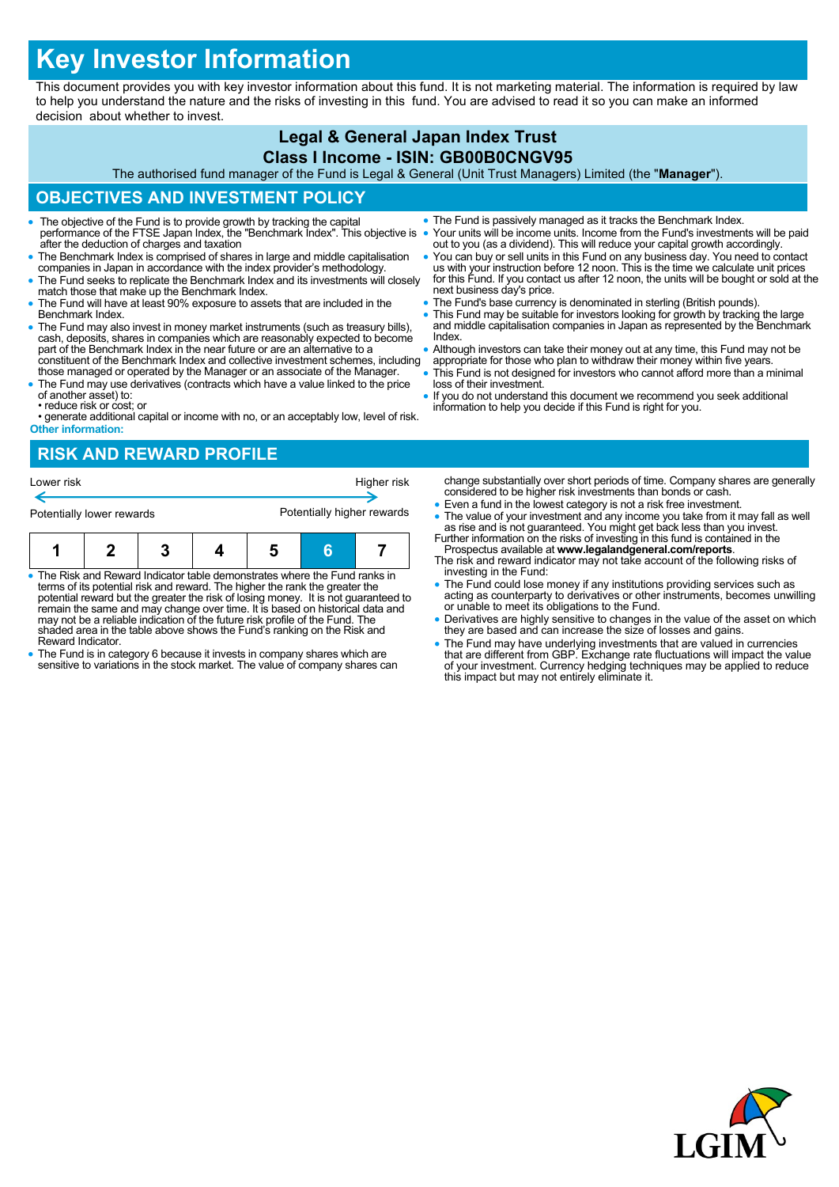# **Key Investor Information**

This document provides you with key investor information about this fund. It is not marketing material. The information is required by law to help you understand the nature and the risks of investing in this fund. You are advised to read it so you can make an informed decision about whether to invest.

# **Legal & General Japan Index Trust**

## **Class I Income - ISIN: GB00B0CNGV95**

The authorised fund manager of the Fund is Legal & General (Unit Trust Managers) Limited (the "**Manager**").

### **OBJECTIVES AND INVESTMENT POLICY**

- The objective of the Fund is to provide growth by tracking the capital performance of the FTSE Japan Index, the "Benchmark Index". This objective is after the deduction of charges and taxation
- The Benchmark Index is comprised of shares in large and middle capitalisation companies in Japan in accordance with the index provider's methodology.
- The Fund seeks to replicate the Benchmark Index and its investments will closely match those that make up the Benchmark Index.
- The Fund will have at least 90% exposure to assets that are included in the Benchmark Index.
- The Fund may also invest in money market instruments (such as treasury bills), cash, deposits, shares in companies which are reasonably expected to become part of the Benchmark Index in the near future or are an alternative to a constituent of the Benchmark Index and collective investment schemes, including
- those managed or operated by the Manager or an associate of the Manager. The Fund may use derivatives (contracts which have a value linked to the price
- of another asset) to: • reduce risk or cost; or
- generate additional capital or income with no, or an acceptably low, level of risk. **Other information:**

#### **RISK AND REWARD PROFILE**

| Potentially lower rewards |  |  |  | Potentially higher rewards |  |  |
|---------------------------|--|--|--|----------------------------|--|--|
|                           |  |  |  |                            |  |  |

- The Risk and Reward Indicator table demonstrates where the Fund ranks in terms of its potential risk and reward. The higher the rank the greater the potential reward but the greater the risk of losing money. It is not guaranteed to remain the same and may change over time. It is based on historical data and may not be a reliable indication of the future risk profile of the Fund. The shaded area in the table above shows the Fund's ranking on the Risk and Reward Indicator.
- The Fund is in category 6 because it invests in company shares which are sensitive to variations in the stock market. The value of company shares can
- The Fund is passively managed as it tracks the Benchmark Index. Your units will be income units. Income from the Fund's investments will be paid
- out to you (as a dividend). This will reduce your capital growth accordingly. You can buy or sell units in this Fund on any business day. You need to contact us with your instruction before 12 noon. This is the time we calculate unit prices for this Fund. If you contact us after 12 noon, the units will be bought or sold at the
- next business day's price. • The Fund's base currency is denominated in sterling (British pounds).
- This Fund may be suitable for investors looking for growth by tracking the large and middle capitalisation companies in Japan as represented by the Benchmark Index.
- Although investors can take their money out at any time, this Fund may not be appropriate for those who plan to withdraw their money within five years.
- This Fund is not designed for investors who cannot afford more than a minimal loss of their investment.
- If you do not understand this document we recommend you seek additional information to help you decide if this Fund is right for you.

change substantially over short periods of time. Company shares are generally considered to be higher risk investments than bonds or cash.

- Even a fund in the lowest category is not a risk free investment.
- The value of your investment and any income you take from it may fall as well as rise and is not guaranteed. You might get back less than you invest. Further information on the risks of investing in this fund is containe
- Prospectus available at **www.legalandgeneral.com/reports**. The risk and reward indicator may not take account of the following risks of
- investing in the Fund: The Fund could lose money if any institutions providing services such as acting as counterparty to derivatives or other instruments, becomes unwilling or unable to meet its obligations to the Fund.
- Derivatives are highly sensitive to changes in the value of the asset on which they are based and can increase the size of losses and gains.
- The Fund may have underlying investments that are valued in currencies<br>that are different from GBP. Exchange rate fluctuations will impact the value<br>of your investment. Currency hedging techniques may be applied to reduc